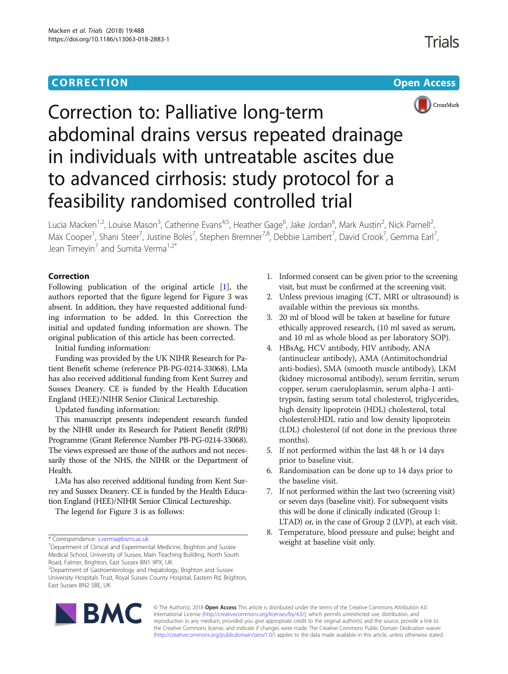### **CORRECTION CORRECTION CORRECTION**



# Correction to: Palliative long-term abdominal drains versus repeated drainage in individuals with untreatable ascites due to advanced cirrhosis: study protocol for a feasibility randomised controlled trial

Lucia Macken<sup>1,2</sup>, Louise Mason<sup>3</sup>, Catherine Evans<sup>4,5</sup>, Heather Gage<sup>6</sup>, Jake Jordan<sup>6</sup>, Mark Austin<sup>2</sup>, Nick Parnell<sup>2</sup> , Max Cooper<sup>1</sup>, Shani Steer<sup>7</sup>, Justine Boles<sup>7</sup>, Stephen Bremner<sup>7,8</sup>, Debbie Lambert<sup>7</sup>, David Crook<sup>7</sup>, Gemma Earl<sup>7</sup> , Jean Timeyin<sup>7</sup> and Sumita Verma<sup>1,2\*</sup>

#### Correction

Following publication of the original article [[1\]](#page-1-0), the authors reported that the figure legend for Figure 3 was absent. In addition, they have requested additional funding information to be added. In this Correction the initial and updated funding information are shown. The original publication of this article has been corrected.

Initial funding information:

Funding was provided by the UK NIHR Research for Patient Benefit scheme (reference PB-PG-0214-33068). LMa has also received additional funding from Kent Surrey and Sussex Deanery. CE is funded by the Health Education England (HEE)/NIHR Senior Clinical Lectureship.

Updated funding information:

This manuscript presents independent research funded by the NIHR under its Research for Patient Benefit (RfPB) Programme (Grant Reference Number PB-PG-0214-33068). The views expressed are those of the authors and not necessarily those of the NHS, the NIHR or the Department of Health.

LMa has also received additional funding from Kent Surrey and Sussex Deanery. CE is funded by the Health Education England (HEE)/NIHR Senior Clinical Lectureship.

The legend for Figure 3 is as follows:

- 1. Informed consent can be given prior to the screening visit, but must be confirmed at the screening visit.
- 2. Unless previous imaging (CT, MRI or ultrasound) is available within the previous six months.
- 3. 20 ml of blood will be taken at baseline for future ethically approved research, (10 ml saved as serum, and 10 ml as whole blood as per laboratory SOP).
- 4. HBsAg, HCV antibody, HIV antibody, ANA (antinuclear antibody), AMA (Antimitochondrial anti-bodies), SMA (smooth muscle antibody), LKM (kidney microsomal antibody), serum ferritin, serum copper, serum caeruloplasmin, serum alpha-1 antitrypsin, fasting serum total cholesterol, triglycerides, high density lipoprotein (HDL) cholesterol, total cholesterol:HDL ratio and low density lipoprotein (LDL) cholesterol (if not done in the previous three months).
- 5. If not performed within the last 48 h or 14 days prior to baseline visit.
- 6. Randomisation can be done up to 14 days prior to the baseline visit.
- 7. If not performed within the last two (screening visit) or seven days (baseline visit). For subsequent visits this will be done if clinically indicated (Group 1: LTAD) or, in the case of Group 2 (LVP), at each visit.
- 8. Temperature, blood pressure and pulse; height and



© The Author(s). 2018 Open Access This article is distributed under the terms of the Creative Commons Attribution 4.0 International License [\(http://creativecommons.org/licenses/by/4.0/](http://creativecommons.org/licenses/by/4.0/)), which permits unrestricted use, distribution, and reproduction in any medium, provided you give appropriate credit to the original author(s) and the source, provide a link to the Creative Commons license, and indicate if changes were made. The Creative Commons Public Domain Dedication waiver [\(http://creativecommons.org/publicdomain/zero/1.0/](http://creativecommons.org/publicdomain/zero/1.0/)) applies to the data made available in this article, unless otherwise stated.

<sup>\*</sup> Correspondence: [s.verma@bsms.ac.uk](mailto:s.verma@bsms.ac.uk)<br><sup>1</sup>Department of Clinical and Experimental Medicine, Brighton and Sussex **1998 Weight at baseline visit only.** Medical School, University of Sussex, Main Teaching Building, North South Road, Falmer, Brighton, East Sussex BN1 9PX, UK

<sup>&</sup>lt;sup>2</sup> Department of Gastroenterology and Hepatology, Brighton and Sussex University Hospitals Trust, Royal Sussex County Hospital, Eastern Rd, Brighton, East Sussex BN2 5BE, UK